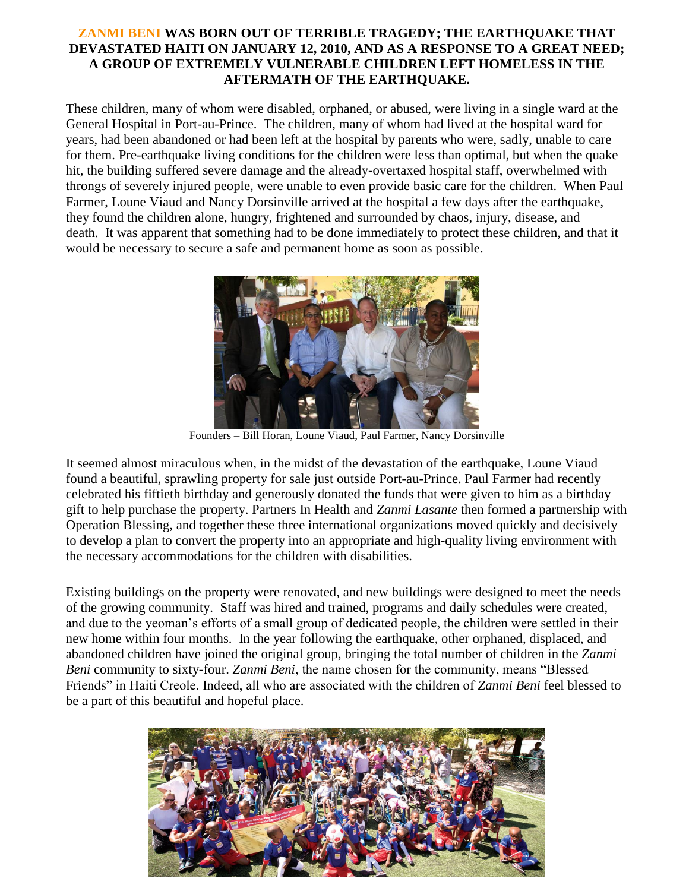## **ZANMI BENI WAS BORN OUT OF TERRIBLE TRAGEDY; THE EARTHQUAKE THAT DEVASTATED HAITI ON JANUARY 12, 2010, AND AS A RESPONSE TO A GREAT NEED; A GROUP OF EXTREMELY VULNERABLE CHILDREN LEFT HOMELESS IN THE AFTERMATH OF THE EARTHQUAKE.**

These children, many of whom were disabled, orphaned, or abused, were living in a single ward at the General Hospital in Port-au-Prince. The children, many of whom had lived at the hospital ward for years, had been abandoned or had been left at the hospital by parents who were, sadly, unable to care for them. Pre-earthquake living conditions for the children were less than optimal, but when the quake hit, the building suffered severe damage and the already-overtaxed hospital staff, overwhelmed with throngs of severely injured people, were unable to even provide basic care for the children. When Paul Farmer, Loune Viaud and Nancy Dorsinville arrived at the hospital a few days after the earthquake, they found the children alone, hungry, frightened and surrounded by chaos, injury, disease, and death. It was apparent that something had to be done immediately to protect these children, and that it would be necessary to secure a safe and permanent home as soon as possible.



Founders – Bill Horan, Loune Viaud, Paul Farmer, Nancy Dorsinville

It seemed almost miraculous when, in the midst of the devastation of the earthquake, Loune Viaud found a beautiful, sprawling property for sale just outside Port-au-Prince. Paul Farmer had recently celebrated his fiftieth birthday and generously donated the funds that were given to him as a birthday gift to help purchase the property. Partners In Health and *Zanmi Lasante* then formed a partnership with Operation Blessing, and together these three international organizations moved quickly and decisively to develop a plan to convert the property into an appropriate and high-quality living environment with the necessary accommodations for the children with disabilities.

Existing buildings on the property were renovated, and new buildings were designed to meet the needs of the growing community. Staff was hired and trained, programs and daily schedules were created, and due to the yeoman's efforts of a small group of dedicated people, the children were settled in their new home within four months. In the year following the earthquake, other orphaned, displaced, and abandoned children have joined the original group, bringing the total number of children in the *Zanmi Beni* community to sixty-four. *Zanmi Beni*, the name chosen for the community, means "Blessed Friends" in Haiti Creole. Indeed, all who are associated with the children of *Zanmi Beni* feel blessed to be a part of this beautiful and hopeful place.